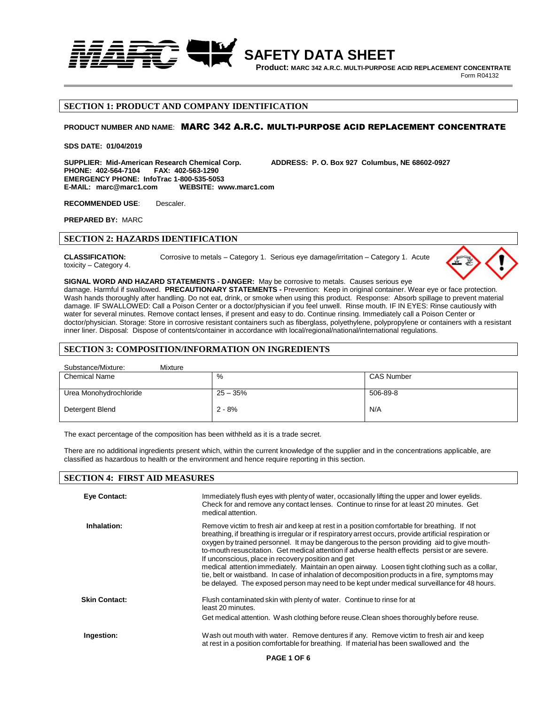

 **Product: MARC 342 A.R.C. MULTI-PURPOSE ACID REPLACEMENT CONCENTRATE Form R04132** 

# **SECTION 1: PRODUCT AND COMPANY IDENTIFICATION**

### **PRODUCT NUMBER AND NAME**: MARC 342 A.R.C. MULTI-PURPOSE ACID REPLACEMENT CONCENTRATE

#### **SDS DATE: 01/04/2019**

**SUPPLIER: Mid-American Research Chemical Corp. ADDRESS: P. O. Box 927 Columbus, NE 68602-0927 PHONE: 402-564-7104 EMERGENCY PHONE: InfoTrac 1-800-535-5053 E-MAIL: marc@marc1.com** 

**RECOMMENDED USE**: Descaler.

**PREPARED BY:** MARC

### **SECTION 2: HAZARDS IDENTIFICATION**

**CLASSIFICATION:** Corrosive to metals – Category 1. Serious eye damage/irritation – Category 1. Acute toxicity – Category 4.



#### **SIGNAL WORD AND HAZARD STATEMENTS - DANGER:** May be corrosive to metals. Causes serious eye

damage. Harmful if swallowed. **PRECAUTIONARY STATEMENTS -** Prevention: Keep in original container. Wear eye or face protection. Wash hands thoroughly after handling. Do not eat, drink, or smoke when using this product. Response: Absorb spillage to prevent material damage. IF SWALLOWED: Call a Poison Center or a doctor/physician if you feel unwell. Rinse mouth. IF IN EYES: Rinse cautiously with water for several minutes. Remove contact lenses, if present and easy to do. Continue rinsing. Immediately call a Poison Center or doctor/physician. Storage: Store in corrosive resistant containers such as fiberglass, polyethylene, polypropylene or containers with a resistant inner liner. Disposal: Dispose of contents/container in accordance with local/regional/national/international regulations.

### **SECTION 3: COMPOSITION/INFORMATION ON INGREDIENTS**

| Substance/Mixture:<br>Mixture |            |                   |
|-------------------------------|------------|-------------------|
| <b>Chemical Name</b>          | %          | <b>CAS Number</b> |
|                               |            |                   |
| Urea Monohydrochloride        | $25 - 35%$ | 506-89-8          |
| Detergent Blend               | $2 - 8%$   | N/A               |

The exact percentage of the composition has been withheld as it is a trade secret.

There are no additional ingredients present which, within the current knowledge of the supplier and in the concentrations applicable, are classified as hazardous to health or the environment and hence require reporting in this section.

| <b>SECTION 4: FIRST AID MEASURES</b> |                                                                                                                                                                                                                                                                                                                                                                                                                                                                                                                                                                                                                                                                                                                                                                    |
|--------------------------------------|--------------------------------------------------------------------------------------------------------------------------------------------------------------------------------------------------------------------------------------------------------------------------------------------------------------------------------------------------------------------------------------------------------------------------------------------------------------------------------------------------------------------------------------------------------------------------------------------------------------------------------------------------------------------------------------------------------------------------------------------------------------------|
| Eye Contact:                         | Immediately flush eyes with plenty of water, occasionally lifting the upper and lower eyelids.<br>Check for and remove any contact lenses. Continue to rinse for at least 20 minutes. Get<br>medical attention.                                                                                                                                                                                                                                                                                                                                                                                                                                                                                                                                                    |
| Inhalation:                          | Remove victim to fresh air and keep at rest in a position comfortable for breathing. If not<br>breathing, if breathing is irregular or if respiratory arrest occurs, provide artificial respiration or<br>oxygen by trained personnel. It may be dangerous to the person providing aid to give mouth-<br>to-mouth resuscitation. Get medical attention if adverse health effects persist or are severe.<br>If unconscious, place in recovery position and get<br>medical attention immediately. Maintain an open airway. Loosen tight clothing such as a collar,<br>tie, belt or waistband. In case of inhalation of decomposition products in a fire, symptoms may<br>be delayed. The exposed person may need to be kept under medical surveillance for 48 hours. |
| <b>Skin Contact:</b>                 | Flush contaminated skin with plenty of water. Continue to rinse for at<br>least 20 minutes.<br>Get medical attention. Wash clothing before reuse. Clean shoes thoroughly before reuse.                                                                                                                                                                                                                                                                                                                                                                                                                                                                                                                                                                             |
| Ingestion:                           | Wash out mouth with water. Remove dentures if any. Remove victim to fresh air and keep<br>at rest in a position comfortable for breathing. If material has been swallowed and the                                                                                                                                                                                                                                                                                                                                                                                                                                                                                                                                                                                  |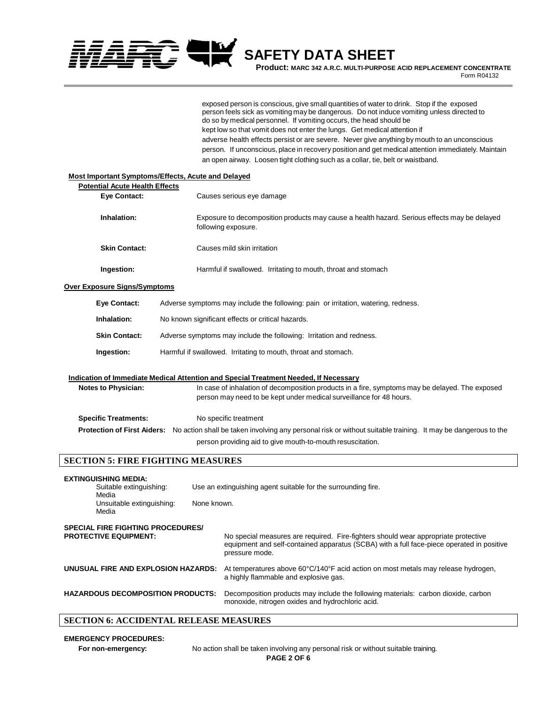

 **Product: MARC 342 A.R.C. MULTI-PURPOSE ACID REPLACEMENT CONCENTRATE Form R04132** 

exposed person is conscious, give small quantities of water to drink. Stop if the exposed person feels sick as vomiting may be dangerous. Do not induce vomiting unless directed to do so by medical personnel. If vomiting occurs, the head should be kept low so that vomit does not enter the lungs. Get medical attention if adverse health effects persist or are severe. Never give anything by mouth to an unconscious person. If unconscious, place in recovery position and get medical attention immediately. Maintain an open airway. Loosen tight clothing such as a collar, tie, belt or waistband.

| <b>Most Important Symptoms/Effects, Acute and Delayed</b> |                                          |                                                                                                                                                                                                   |
|-----------------------------------------------------------|------------------------------------------|---------------------------------------------------------------------------------------------------------------------------------------------------------------------------------------------------|
| <b>Potential Acute Health Effects</b>                     |                                          |                                                                                                                                                                                                   |
| Eye Contact:                                              |                                          | Causes serious eye damage                                                                                                                                                                         |
| Inhalation:                                               |                                          | Exposure to decomposition products may cause a health hazard. Serious effects may be delayed<br>following exposure.                                                                               |
| <b>Skin Contact:</b>                                      |                                          | Causes mild skin irritation                                                                                                                                                                       |
| Ingestion:                                                |                                          | Harmful if swallowed. Irritating to mouth, throat and stomach                                                                                                                                     |
| Over Exposure Signs/Symptoms                              |                                          |                                                                                                                                                                                                   |
| Eye Contact:                                              |                                          | Adverse symptoms may include the following: pain or irritation, watering, redness.                                                                                                                |
| Inhalation:                                               |                                          | No known significant effects or critical hazards.                                                                                                                                                 |
| <b>Skin Contact:</b>                                      |                                          | Adverse symptoms may include the following: Irritation and redness.                                                                                                                               |
| Ingestion:                                                |                                          | Harmful if swallowed. Irritating to mouth, throat and stomach.                                                                                                                                    |
|                                                           |                                          |                                                                                                                                                                                                   |
|                                                           |                                          | <b>Indication of Immediate Medical Attention and Special Treatment Needed, If Necessary</b>                                                                                                       |
| <b>Notes to Physician:</b>                                |                                          | In case of inhalation of decomposition products in a fire, symptoms may be delayed. The exposed<br>person may need to be kept under medical surveillance for 48 hours.                            |
| <b>Specific Treatments:</b>                               |                                          | No specific treatment                                                                                                                                                                             |
|                                                           |                                          | Protection of First Aiders: No action shall be taken involving any personal risk or without suitable training. It may be dangerous to the                                                         |
|                                                           |                                          | person providing aid to give mouth-to-mouth resuscitation.                                                                                                                                        |
| <b>SECTION 5: FIRE FIGHTING MEASURES</b>                  |                                          |                                                                                                                                                                                                   |
| <b>EXTINGUISHING MEDIA:</b>                               |                                          |                                                                                                                                                                                                   |
| Suitable extinguishing:<br>Media                          |                                          | Use an extinguishing agent suitable for the surrounding fire.                                                                                                                                     |
| Media                                                     | Unsuitable extinguishing:<br>None known. |                                                                                                                                                                                                   |
| <b>SPECIAL FIRE FIGHTING PROCEDURES/</b>                  |                                          |                                                                                                                                                                                                   |
| <b>PROTECTIVE EQUIPMENT:</b>                              |                                          | No special measures are required. Fire-fighters should wear appropriate protective<br>equipment and self-contained apparatus (SCBA) with a full face-piece operated in positive<br>pressure mode. |
| UNUSUAL FIRE AND EXPLOSION HAZARDS:                       |                                          | At temperatures above 60°C/140°F acid action on most metals may release hydrogen,<br>a highly flammable and explosive gas.                                                                        |
| <b>HAZARDOUS DECOMPOSITION PRODUCTS:</b>                  |                                          | Decomposition products may include the following materials: carbon dioxide, carbon<br>monoxide, nitrogen oxides and hydrochloric acid.                                                            |
| <b>SECTION 6: ACCIDENTAL RELEASE MEASURES</b>             |                                          |                                                                                                                                                                                                   |

# **EMERGENCY PROCEDURES:**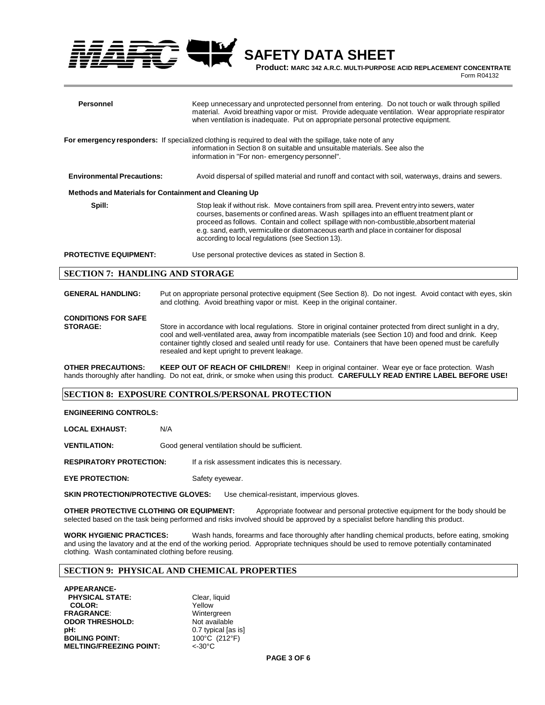**Product: MARC 342 A.R.C. MULTI-PURPOSE ACID REPLACEMENT CONCENTRATE**

**Form R04132** 

| Personnel                                             | Keep unnecessary and unprotected personnel from entering. Do not touch or walk through spilled<br>material. Avoid breathing vapor or mist. Provide adequate ventilation. Wear appropriate respirator<br>when ventilation is inadequate. Put on appropriate personal protective equipment.                                                                                                                                            |
|-------------------------------------------------------|--------------------------------------------------------------------------------------------------------------------------------------------------------------------------------------------------------------------------------------------------------------------------------------------------------------------------------------------------------------------------------------------------------------------------------------|
|                                                       | For emergency responders: If specialized clothing is required to deal with the spillage, take note of any<br>information in Section 8 on suitable and unsuitable materials. See also the<br>information in "For non-emergency personnel".                                                                                                                                                                                            |
| <b>Environmental Precautions:</b>                     | Avoid dispersal of spilled material and runoff and contact with soil, waterways, drains and sewers.                                                                                                                                                                                                                                                                                                                                  |
| Methods and Materials for Containment and Cleaning Up |                                                                                                                                                                                                                                                                                                                                                                                                                                      |
| Spill:                                                | Stop leak if without risk. Move containers from spill area. Prevent entry into sewers, water<br>courses, basements or confined areas. Wash spillages into an effluent treatment plant or<br>proceed as follows. Contain and collect spillage with non-combustible, absorbent material<br>e.g. sand, earth, vermiculite or diatomaceous earth and place in container for disposal<br>according to local regulations (see Section 13). |
| <b>PROTECTIVE EQUIPMENT:</b>                          | Use personal protective devices as stated in Section 8.                                                                                                                                                                                                                                                                                                                                                                              |

### **SECTION 7: HANDLING AND STORAGE**

| <b>GENERAL HANDLING:</b>                      | Put on appropriate personal protective equipment (See Section 8). Do not ingest. Avoid contact with eyes, skin<br>and clothing. Avoid breathing vapor or mist. Keep in the original container.                                                                                                                                                                                                |
|-----------------------------------------------|-----------------------------------------------------------------------------------------------------------------------------------------------------------------------------------------------------------------------------------------------------------------------------------------------------------------------------------------------------------------------------------------------|
| <b>CONDITIONS FOR SAFE</b><br><b>STORAGE:</b> | Store in accordance with local regulations. Store in original container protected from direct sunlight in a dry,<br>cool and well-ventilated area, away from incompatible materials (see Section 10) and food and drink. Keep<br>container tightly closed and sealed until ready for use. Containers that have been opened must be carefully<br>resealed and kept upright to prevent leakage. |

**OTHER PRECAUTIONS: KEEP OUT OF REACH OF CHILDREN**!! Keep in original container. Wear eye or face protection. Wash hands thoroughly after handling. Do not eat, drink, or smoke when using this product. **CAREFULLY READ ENTIRE LABEL BEFORE USE!**

# **SECTION 8: EXPOSURE CONTROLS/PERSONAL PROTECTION**

### **ENGINEERING CONTROLS:**

| <b>LOCAL EXHAUST:</b>          | N/A |                                                   |
|--------------------------------|-----|---------------------------------------------------|
| <b>VENTILATION:</b>            |     | Good general ventilation should be sufficient.    |
| <b>RESPIRATORY PROTECTION:</b> |     | If a risk assessment indicates this is necessary. |
| <b>EYE PROTECTION:</b>         |     | Safety eyewear.                                   |

**SKIN PROTECTION/PROTECTIVE GLOVES:** Use chemical-resistant, impervious gloves.

**OTHER PROTECTIVE CLOTHING OR EQUIPMENT:** Appropriate footwear and personal protective equipment for the body should be selected based on the task being performed and risks involved should be approved by a specialist before handling this product.

**WORK HYGIENIC PRACTICES:** Wash hands, forearms and face thoroughly after handling chemical products, before eating, smoking and using the lavatory and at the end of the working period. Appropriate techniques should be used to remove potentially contaminated clothing. Wash contaminated clothing before reusing.

## **SECTION 9: PHYSICAL AND CHEMICAL PROPERTIES**

**APPEARANCE- PHYSICAL STATE:** Clear, liquid **COLOR:** Yellow Yellow<br> **RAGRANCE:** Wintergreen **FRAGRANCE:** Wintergreen<br> **ODOR THRESHOLD:** Not available **ODOR THRESHOLD:**<br>pH: **BOILING POINT:** 100°C<br> **MELTING/FREEZING POINT:** <-30°C **MELTING/FREEZING POINT:** 

0.7 typical [as is]<br>100°C (212°F)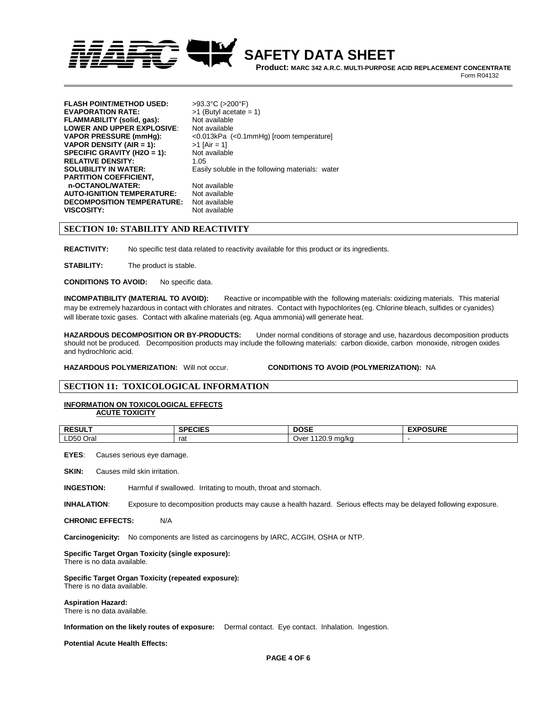

 **Product: MARC 342 A.R.C. MULTI-PURPOSE ACID REPLACEMENT CONCENTRATE Form R04132** 

**FLASH POINT/METHOD USED:** >93.3°C (>200°F) **EVAPORATION RATE:** >1 (Butyl acetate = 1) **FLAMMABILITY (solid, gas):** Not available **LOWER AND UPPER EXPLOSIVE:** Not available<br>VAPOR PRESSURE (mmHg): <0.013kPa (-0.013kPa) **VAPOR DENSITY (AIR = 1):**  $>1$  [Air = 1] **SPECIFIC GRAVITY (H2O = 1):** Not available **RELATIVE DENSITY:** 1.05<br>**SOLUBILITY IN WATER:** Easil **PARTITION COEFFICIENT, n-OCTANOL/WATER:** Not available<br>**AUTO-IGNITION TEMPERATURE:** Not available **AUTO-IGNITION TEMPERATURE:** Not available **DECOMPOSITION TEMPERATURE: VISCOSITY:** Not available

**VAPOR PRESSURE (mmHg):** <0.013kPa (<0.1mmHg) [room temperature] Easily soluble in the following materials: water

#### **SECTION 10: STABILITY AND REACTIVITY**

**REACTIVITY:** No specific test data related to reactivity available for this product or its ingredients.

**STABILITY:** The product is stable.

**CONDITIONS TO AVOID:** No specific data.

**INCOMPATIBILITY (MATERIAL TO AVOID):** Reactive or incompatible with the following materials: oxidizing materials. This material may be extremely hazardous in contact with chlorates and nitrates. Contact with hypochlorites (eg. Chlorine bleach, sulfides or cyanides) will liberate toxic gases. Contact with alkaline materials (eg. Aqua ammonia) will generate heat.

**HAZARDOUS DECOMPOSITION OR BY-PRODUCTS:** Under normal conditions of storage and use, hazardous decomposition products should not be produced. Decomposition products may include the following materials: carbon dioxide, carbon monoxide, nitrogen oxides and hydrochloric acid.

**HAZARDOUS POLYMERIZATION:** Will not occur. **CONDITIONS TO AVOID (POLYMERIZATION):** NA

### **SECTION 11: TOXICOLOGICAL INFORMATION**

#### **INFORMATION ON TOXICOLOGICAL EFFECTS ACUTE TOXICITY**

| <b>RESULT</b> | <b>SPECIES</b> | <b>DOSE</b>                      | <b>EXPOSURE</b><br>–^' |
|---------------|----------------|----------------------------------|------------------------|
| ∟D50 Oral     | rat            | 1120.9<br>∣ ma∕ka<br>Ove'<br>--- |                        |

**EYES**: Causes serious eye damage.

**SKIN:** Causes mild skin irritation.

**INGESTION:** Harmful if swallowed. Irritating to mouth, throat and stomach.

**INHALATION**: Exposure to decomposition products may cause a health hazard. Serious effects may be delayed following exposure.

**CHRONIC EFFECTS:** N/A

**Carcinogenicity:** No components are listed as carcinogens by IARC, ACGIH, OSHA or NTP.

#### **Specific Target Organ Toxicity (single exposure):**

There is no data available.

# **Specific Target Organ Toxicity (repeated exposure):**

There is no data available.

#### **Aspiration Hazard:**

There is no data available.

#### **Information on the likely routes of exposure:** Dermal contact. Eye contact. Inhalation. Ingestion.

**Potential Acute Health Effects:**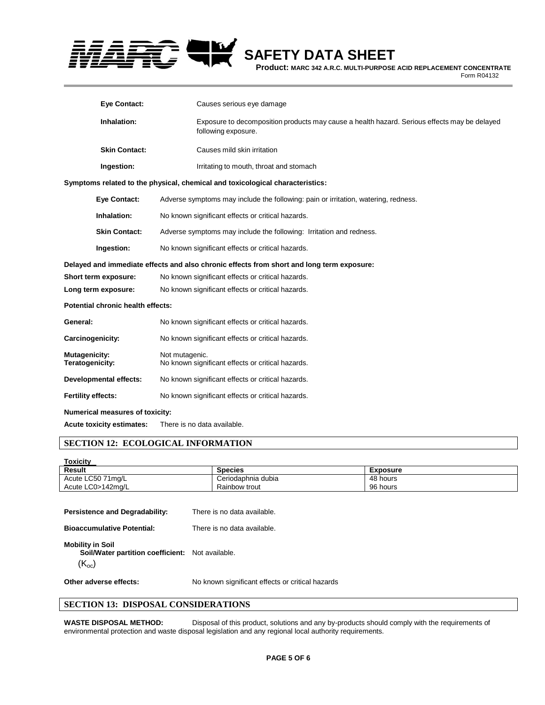

**Product: MARC 342 A.R.C. MULTI-PURPOSE ACID REPLACEMENT CONCENTRATE**

**Form R04132** 

| <b>Eye Contact:</b>               | Causes serious eye damage                                                                                           |  |
|-----------------------------------|---------------------------------------------------------------------------------------------------------------------|--|
| Inhalation:                       | Exposure to decomposition products may cause a health hazard. Serious effects may be delayed<br>following exposure. |  |
| <b>Skin Contact:</b>              | Causes mild skin irritation                                                                                         |  |
| Ingestion:                        | Irritating to mouth, throat and stomach                                                                             |  |
|                                   | Symptoms related to the physical, chemical and toxicological characteristics:                                       |  |
| <b>Eye Contact:</b>               | Adverse symptoms may include the following: pain or irritation, watering, redness.                                  |  |
| Inhalation:                       | No known significant effects or critical hazards.                                                                   |  |
| <b>Skin Contact:</b>              | Adverse symptoms may include the following: Irritation and redness.                                                 |  |
| Ingestion:                        | No known significant effects or critical hazards.                                                                   |  |
|                                   | Delayed and immediate effects and also chronic effects from short and long term exposure:                           |  |
| Short term exposure:              | No known significant effects or critical hazards.                                                                   |  |
| Long term exposure:               | No known significant effects or critical hazards.                                                                   |  |
| Potential chronic health effects: |                                                                                                                     |  |
| General:                          | No known significant effects or critical hazards.                                                                   |  |
| <b>Carcinogenicity:</b>           | No known significant effects or critical hazards.                                                                   |  |
| Mutagenicity:<br>Teratogenicity:  | Not mutagenic.<br>No known significant effects or critical hazards.                                                 |  |
| <b>Developmental effects:</b>     | No known significant effects or critical hazards.                                                                   |  |
| <b>Fertility effects:</b>         | No known significant effects or critical hazards.                                                                   |  |
| Numerical measures of toxicity:   |                                                                                                                     |  |
| <b>Acute toxicity estimates:</b>  | There is no data available.                                                                                         |  |

### **SECTION 12: ECOLOGICAL INFORMATION**

Acute

| <b>Toxicity</b>   |                    |          |  |
|-------------------|--------------------|----------|--|
| <b>Result</b>     | <b>Species</b>     | Exposure |  |
| Acute LC50 71mg/L | Ceriodaphnia dubia | 48 hours |  |
| Acute LC0>142mg/L | Rainbow trout      | 96 hours |  |
|                   |                    |          |  |

**Persistence and Degradability:** There is no data available. **Bioaccumulative Potential:** There is no data available. **Mobility in Soil Soil/Water partition coefficient:** Not available.  $(K_{oc})$ **Other adverse effects:** No known significant effects or critical hazards  $\overline{a}$ 

# **SECTION 13: DISPOSAL CONSIDERATIONS**

**WASTE DISPOSAL METHOD:** Disposal of this product, solutions and any by-products should comply with the requirements of environmental protection and waste disposal legislation and any regional local authority requirements.